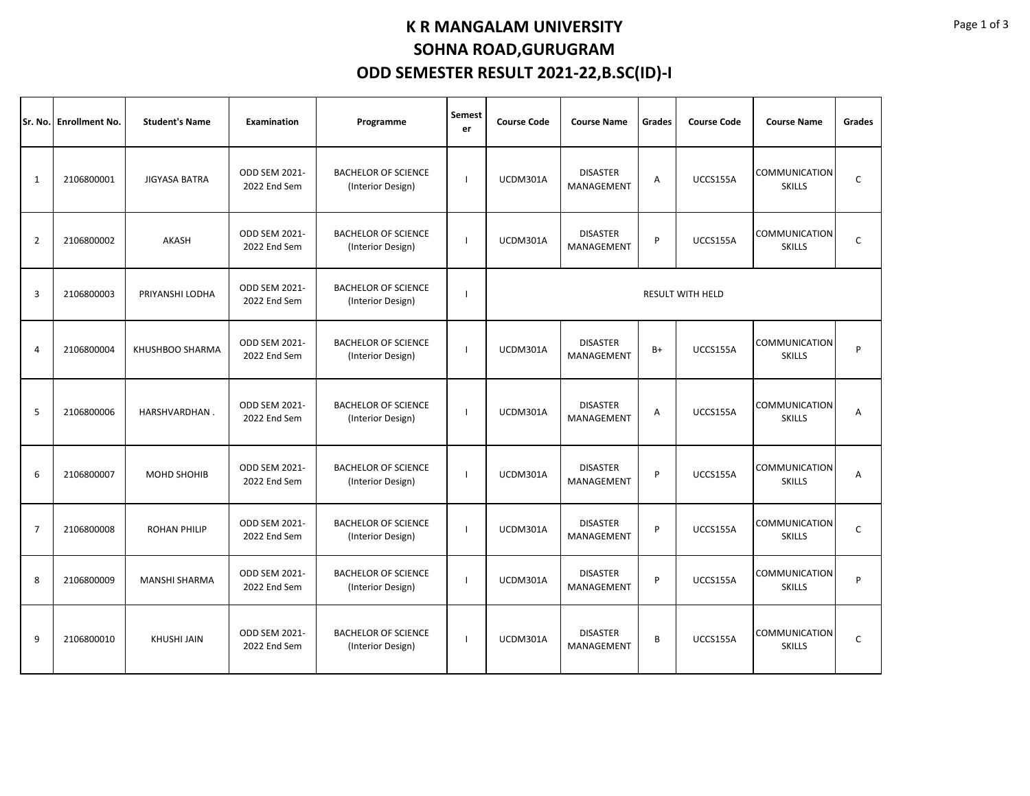## **K R MANGALAM UNIVERSITY SOHNA ROAD,GURUGRAM ODD SEMESTER RESULT 2021-22,B.SC(ID)-I**

|                | Sr. No. Enrollment No. | <b>Student's Name</b> | <b>Examination</b>            | Programme                                       | <b>Semest</b><br>er | <b>Course Code</b>                        | <b>Course Name</b>            |      | <b>Course Code</b> | <b>Course Name</b>                    | Grades      |  |  |
|----------------|------------------------|-----------------------|-------------------------------|-------------------------------------------------|---------------------|-------------------------------------------|-------------------------------|------|--------------------|---------------------------------------|-------------|--|--|
| 1              | 2106800001             | JIGYASA BATRA         | ODD SEM 2021-<br>2022 End Sem | <b>BACHELOR OF SCIENCE</b><br>(Interior Design) |                     | <b>DISASTER</b><br>UCDM301A<br>MANAGEMENT |                               | Α    | UCCS155A           | COMMUNICATION<br><b>SKILLS</b>        | C           |  |  |
| $\overline{2}$ | 2106800002             | AKASH                 | ODD SEM 2021-<br>2022 End Sem | <b>BACHELOR OF SCIENCE</b><br>(Interior Design) |                     | <b>DISASTER</b><br>UCDM301A<br>MANAGEMENT |                               | P    | UCCS155A           | COMMUNICATION<br><b>SKILLS</b>        | C           |  |  |
| 3              | 2106800003             | PRIYANSHI LODHA       | ODD SEM 2021-<br>2022 End Sem | <b>BACHELOR OF SCIENCE</b><br>(Interior Design) |                     | <b>RESULT WITH HELD</b>                   |                               |      |                    |                                       |             |  |  |
| $\overline{4}$ | 2106800004             | KHUSHBOO SHARMA       | ODD SEM 2021-<br>2022 End Sem | <b>BACHELOR OF SCIENCE</b><br>(Interior Design) |                     | <b>DISASTER</b><br>UCDM301A<br>MANAGEMENT |                               | $B+$ | UCCS155A           | <b>COMMUNICATION</b><br><b>SKILLS</b> | P           |  |  |
| 5              | 2106800006             | HARSHVARDHAN.         | ODD SEM 2021-<br>2022 End Sem | <b>BACHELOR OF SCIENCE</b><br>(Interior Design) |                     | UCDM301A                                  | <b>DISASTER</b><br>MANAGEMENT |      | UCCS155A           | COMMUNICATION<br><b>SKILLS</b>        | A           |  |  |
| 6              | 2106800007             | MOHD SHOHIB           | ODD SEM 2021-<br>2022 End Sem | <b>BACHELOR OF SCIENCE</b><br>(Interior Design) |                     | <b>DISASTER</b><br>UCDM301A<br>MANAGEMENT |                               | P    | UCCS155A           | <b>COMMUNICATION</b><br><b>SKILLS</b> | А           |  |  |
| $\overline{7}$ | 2106800008             | <b>ROHAN PHILIP</b>   | ODD SEM 2021-<br>2022 End Sem | <b>BACHELOR OF SCIENCE</b><br>(Interior Design) |                     | UCDM301A                                  | <b>DISASTER</b><br>MANAGEMENT | P    | UCCS155A           | COMMUNICATION<br><b>SKILLS</b>        | C           |  |  |
| 8              | 2106800009             | <b>MANSHI SHARMA</b>  | ODD SEM 2021-<br>2022 End Sem | <b>BACHELOR OF SCIENCE</b><br>(Interior Design) |                     | UCDM301A                                  | <b>DISASTER</b><br>MANAGEMENT | P    | UCCS155A           | <b>COMMUNICATION</b><br><b>SKILLS</b> | P           |  |  |
| 9              | 2106800010             | <b>KHUSHI JAIN</b>    | ODD SEM 2021-<br>2022 End Sem | <b>BACHELOR OF SCIENCE</b><br>(Interior Design) |                     | UCDM301A                                  | <b>DISASTER</b><br>MANAGEMENT | B    | UCCS155A           | <b>COMMUNICATION</b><br><b>SKILLS</b> | $\mathsf C$ |  |  |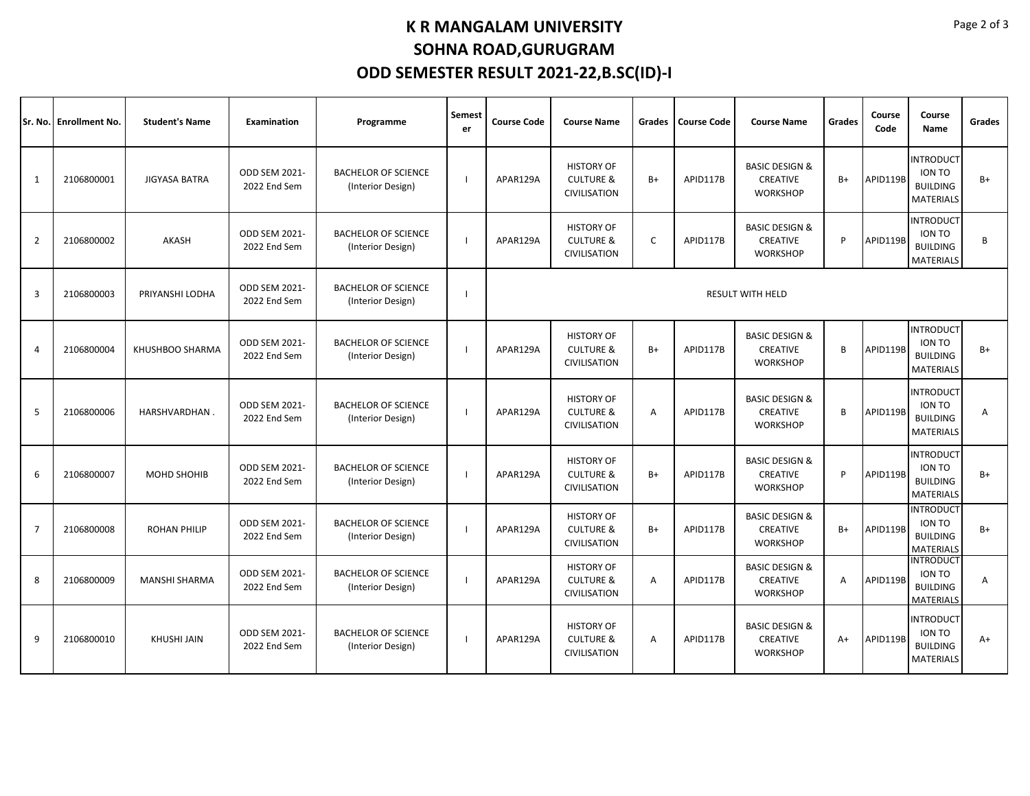## **K R MANGALAM UNIVERSITY SOHNA ROAD,GURUGRAM ODD SEMESTER RESULT 2021-22,B.SC(ID)-I**

| lSr. No.       | <b>Enrollment No.</b> | <b>Student's Name</b> | <b>Examination</b>                   | Programme                                       | Semest<br>er | <b>Course Code</b>      | <b>Course Name</b>                                               | Grades | <b>Course Code</b> | <b>Course Name</b>                                              | Grades | Course<br>Code | Course<br>Name                                                    | Grades         |  |
|----------------|-----------------------|-----------------------|--------------------------------------|-------------------------------------------------|--------------|-------------------------|------------------------------------------------------------------|--------|--------------------|-----------------------------------------------------------------|--------|----------------|-------------------------------------------------------------------|----------------|--|
| $\mathbf{1}$   | 2106800001            | <b>JIGYASA BATRA</b>  | ODD SEM 2021-<br>2022 End Sem        | <b>BACHELOR OF SCIENCE</b><br>(Interior Design) |              | APAR129A                | <b>HISTORY OF</b><br><b>CULTURE &amp;</b><br>CIVILISATION        | $B+$   | APID117B           | <b>BASIC DESIGN &amp;</b><br><b>CREATIVE</b><br><b>WORKSHOP</b> | $B+$   | APID119B       | <b>INTRODUCT</b><br>ION TO<br><b>BUILDING</b><br>MATERIALS        | $B+$           |  |
| $\overline{2}$ | 2106800002            | AKASH                 | ODD SEM 2021-<br>2022 End Sem        | <b>BACHELOR OF SCIENCE</b><br>(Interior Design) |              | APAR129A                | <b>HISTORY OF</b><br><b>CULTURE &amp;</b><br><b>CIVILISATION</b> | C      | APID117B           | <b>BASIC DESIGN &amp;</b><br>CREATIVE<br><b>WORKSHOP</b>        | P      | APID119B       | <b>INTRODUCT</b><br>ION TO<br><b>BUILDING</b><br><b>MATERIALS</b> | B              |  |
| $\overline{3}$ | 2106800003            | PRIYANSHI LODHA       | ODD SEM 2021-<br>2022 End Sem        | <b>BACHELOR OF SCIENCE</b><br>(Interior Design) |              | <b>RESULT WITH HELD</b> |                                                                  |        |                    |                                                                 |        |                |                                                                   |                |  |
| $\overline{4}$ | 2106800004            | KHUSHBOO SHARMA       | ODD SEM 2021-<br>2022 End Sem        | <b>BACHELOR OF SCIENCE</b><br>(Interior Design) |              | APAR129A                | <b>HISTORY OF</b><br><b>CULTURE &amp;</b><br>CIVILISATION        | $B+$   | APID117B           | <b>BASIC DESIGN &amp;</b><br>CREATIVE<br><b>WORKSHOP</b>        | B      | APID119B       | <b>INTRODUCT</b><br>ION TO<br><b>BUILDING</b><br><b>MATERIALS</b> | $B+$           |  |
| 5              | 2106800006            | HARSHVARDHAN.         | ODD SEM 2021-<br>2022 End Sem        | <b>BACHELOR OF SCIENCE</b><br>(Interior Design) |              | APAR129A                | <b>HISTORY OF</b><br><b>CULTURE &amp;</b><br>CIVILISATION        | A      | APID117B           | <b>BASIC DESIGN &amp;</b><br><b>CREATIVE</b><br><b>WORKSHOP</b> | B      | APID119B       | <b>INTRODUCT</b><br>ION TO<br><b>BUILDING</b><br><b>MATERIALS</b> | $\overline{A}$ |  |
| 6              | 2106800007            | <b>MOHD SHOHIB</b>    | ODD SEM 2021-<br>2022 End Sem        | <b>BACHELOR OF SCIENCE</b><br>(Interior Design) |              | APAR129A                | <b>HISTORY OF</b><br><b>CULTURE &amp;</b><br>CIVILISATION        | B+     | APID117B           | <b>BASIC DESIGN &amp;</b><br>CREATIVE<br><b>WORKSHOP</b>        | P      | APID119B       | <b>INTRODUCT</b><br>ION TO<br><b>BUILDING</b><br><b>MATERIALS</b> | $B+$           |  |
| $\overline{7}$ | 2106800008            | <b>ROHAN PHILIP</b>   | <b>ODD SEM 2021-</b><br>2022 End Sem | <b>BACHELOR OF SCIENCE</b><br>(Interior Design) |              | APAR129A                | <b>HISTORY OF</b><br><b>CULTURE &amp;</b><br>CIVILISATION        | $B+$   | APID117B           | <b>BASIC DESIGN &amp;</b><br>CREATIVE<br><b>WORKSHOP</b>        | $B+$   | APID119B       | <b>INTRODUCT</b><br>ION TO<br><b>BUILDING</b><br><b>MATERIALS</b> | $B+$           |  |
| 8              | 2106800009            | <b>MANSHI SHARMA</b>  | ODD SEM 2021-<br>2022 End Sem        | <b>BACHELOR OF SCIENCE</b><br>(Interior Design) |              | APAR129A                | <b>HISTORY OF</b><br><b>CULTURE &amp;</b><br>CIVILISATION        | Α      | APID117B           | <b>BASIC DESIGN &amp;</b><br>CREATIVE<br><b>WORKSHOP</b>        | A      | APID119B       | <b>INTRODUCT</b><br>ION TO<br><b>BUILDING</b><br>MATERIALS        | A              |  |
| 9              | 2106800010            | <b>KHUSHI JAIN</b>    | ODD SEM 2021-<br>2022 End Sem        | <b>BACHELOR OF SCIENCE</b><br>(Interior Design) |              | APAR129A                | <b>HISTORY OF</b><br><b>CULTURE &amp;</b><br>CIVILISATION        | Α      | APID117B           | <b>BASIC DESIGN &amp;</b><br><b>CREATIVE</b><br><b>WORKSHOP</b> | $A+$   | APID119B       | <b>INTRODUCT</b><br>ION TO<br><b>BUILDING</b><br><b>MATERIALS</b> | $A+$           |  |